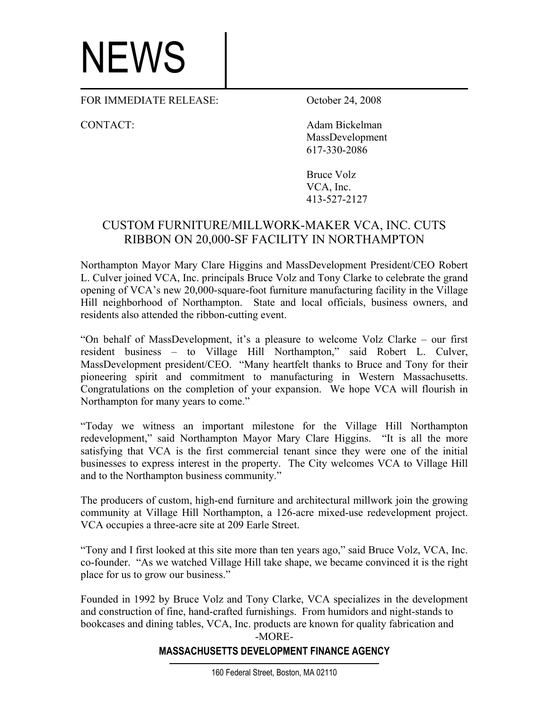## NEWS

FOR IMMEDIATE RELEASE: October 24, 2008

CONTACT: Adam Bickelman MassDevelopment 617-330-2086

> Bruce Volz VCA, Inc. 413-527-2127

## CUSTOM FURNITURE/MILLWORK-MAKER VCA, INC. CUTS RIBBON ON 20,000-SF FACILITY IN NORTHAMPTON

Northampton Mayor Mary Clare Higgins and MassDevelopment President/CEO Robert L. Culver joined VCA, Inc. principals Bruce Volz and Tony Clarke to celebrate the grand opening of VCA's new 20,000-square-foot furniture manufacturing facility in the Village Hill neighborhood of Northampton. State and local officials, business owners, and residents also attended the ribbon-cutting event.

"On behalf of MassDevelopment, it's a pleasure to welcome Volz Clarke – our first resident business – to Village Hill Northampton," said Robert L. Culver, MassDevelopment president/CEO. "Many heartfelt thanks to Bruce and Tony for their pioneering spirit and commitment to manufacturing in Western Massachusetts. Congratulations on the completion of your expansion. We hope VCA will flourish in Northampton for many years to come."

"Today we witness an important milestone for the Village Hill Northampton redevelopment," said Northampton Mayor Mary Clare Higgins. "It is all the more satisfying that VCA is the first commercial tenant since they were one of the initial businesses to express interest in the property. The City welcomes VCA to Village Hill and to the Northampton business community."

The producers of custom, high-end furniture and architectural millwork join the growing community at Village Hill Northampton, a 126-acre mixed-use redevelopment project. VCA occupies a three-acre site at 209 Earle Street.

"Tony and I first looked at this site more than ten years ago," said Bruce Volz, VCA, Inc. co-founder. "As we watched Village Hill take shape, we became convinced it is the right place for us to grow our business."

Founded in 1992 by Bruce Volz and Tony Clarke, VCA specializes in the development and construction of fine, hand-crafted furnishings. From humidors and night-stands to bookcases and dining tables, VCA, Inc. products are known for quality fabrication and -MORE-

## **MASSACHUSETTS DEVELOPMENT FINANCE AGENCY**